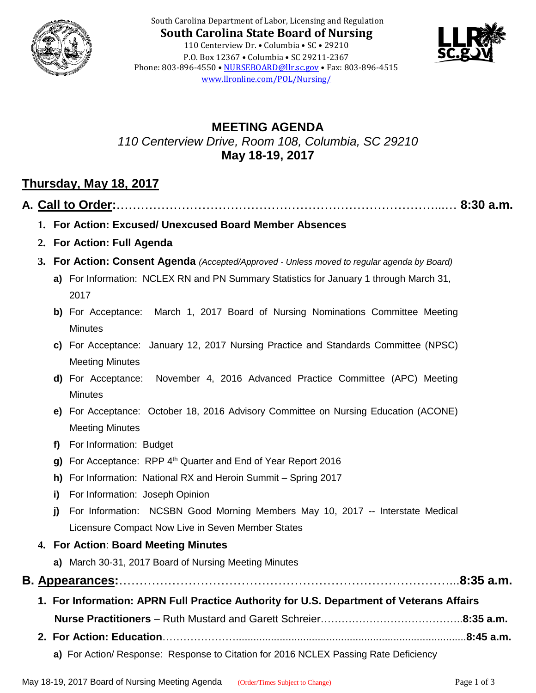

South Carolina Department of Labor, Licensing and Regulation **South Carolina State Board of Nursing** 110 Centerview Dr. • Columbia • SC • 29210 P.O. Box 12367 • Columbia • SC 29211-2367 Phone: 803-896-4550 • [NURSEBOARD@llr.sc.gov](mailto:contactllr@llr.sc.gov) • Fax: 803-896-4515 [www.llronline.com/POL/Nursing/](http://www.llronline.com/POL/Nursing/)



# **MEETING AGENDA** *110 Centerview Drive, Room 108, Columbia, SC 29210* **May 18-19, 2017**

# **Thursday, May 18, 2017**

**A. Call to Order:**……………………………………………………………………...… **8:30 a.m.**

- **1. For Action: Excused/ Unexcused Board Member Absences**
- **2. For Action: Full Agenda**
- **3. For Action: Consent Agenda** *(Accepted/Approved - Unless moved to regular agenda by Board)*
	- **a)** For Information: NCLEX RN and PN Summary Statistics for January 1 through March 31, 2017
	- **b)** For Acceptance: March 1, 2017 Board of Nursing Nominations Committee Meeting **Minutes**
	- **c)** For Acceptance: January 12, 2017 Nursing Practice and Standards Committee (NPSC) Meeting Minutes
	- **d)** For Acceptance: November 4, 2016 Advanced Practice Committee (APC) Meeting **Minutes**
	- **e)** For Acceptance: October 18, 2016 Advisory Committee on Nursing Education (ACONE) Meeting Minutes
	- **f)** For Information: Budget
	- **g)** For Acceptance: RPP 4<sup>th</sup> Quarter and End of Year Report 2016
	- **h)** For Information: National RX and Heroin Summit Spring 2017
	- **i)** For Information: Joseph Opinion
	- **j)** For Information: NCSBN Good Morning Members May 10, 2017 -- Interstate Medical Licensure Compact Now Live in Seven Member States

### **4. For Action**: **Board Meeting Minutes**

**a)** March 30-31, 2017 Board of Nursing Meeting Minutes

**B. Appearances:**………………………………………………………………………...**8:35 a.m.**

- **1. For Information: APRN Full Practice Authority for U.S. Department of Veterans Affairs Nurse Practitioners** – Ruth Mustard and Garett Schreier…………………………………..**8:35 a.m.**
- **2. For Action: Education**…………………...............................................................................**8:45 a.m.**
	- **a)** For Action/ Response: Response to Citation for 2016 NCLEX Passing Rate Deficiency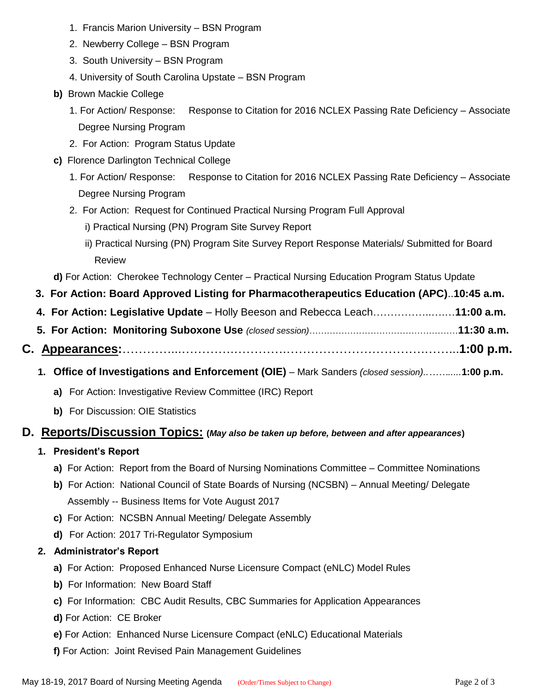- 1. Francis Marion University BSN Program
- 2. Newberry College BSN Program
- 3. South University BSN Program
- 4. University of South Carolina Upstate BSN Program
- **b)** Brown Mackie College
	- 1. For Action/ Response: Response to Citation for 2016 NCLEX Passing Rate Deficiency Associate Degree Nursing Program
	- 2. For Action: Program Status Update
- **c)** Florence Darlington Technical College
	- 1. For Action/ Response: Response to Citation for 2016 NCLEX Passing Rate Deficiency Associate Degree Nursing Program
	- 2. For Action: Request for Continued Practical Nursing Program Full Approval
		- i) Practical Nursing (PN) Program Site Survey Report
		- ii) Practical Nursing (PN) Program Site Survey Report Response Materials/ Submitted for Board Review

**d)** For Action: Cherokee Technology Center – Practical Nursing Education Program Status Update

- **3. For Action: Board Approved Listing for Pharmacotherapeutics Education (APC)**..**10:45 a.m.**
- **4. For Action: Legislative Update**  Holly Beeson and Rebecca Leach……………..….…**11:00 a.m.**
- **5. For Action: Monitoring Suboxone Use** *(closed session)*……………………………………………**11:30 a.m.**
- **C. Appearances:**…………...………….………….…………………………….……...**1:00 p.m.**
	- **1. Office of Investigations and Enforcement (OIE)** Mark Sanders *(closed session)..…….....***1:00 p.m.**
		- **a)** For Action: Investigative Review Committee (IRC) Report
		- **b)** For Discussion: OIE Statistics

### **D. Reports/Discussion Topics: (***May also be taken up before, between and after appearances***)**

- **1. President's Report**
	- **a)** For Action: Report from the Board of Nursing Nominations Committee Committee Nominations
	- **b)** For Action: National Council of State Boards of Nursing (NCSBN) Annual Meeting/ Delegate Assembly -- Business Items for Vote August 2017
	- **c)** For Action: NCSBN Annual Meeting/ Delegate Assembly
	- **d)** For Action: 2017 Tri-Regulator Symposium
- **2. Administrator's Report** 
	- **a)** For Action: Proposed Enhanced Nurse Licensure Compact (eNLC) Model Rules
	- **b)** For Information: New Board Staff
	- **c)** For Information: CBC Audit Results, CBC Summaries for Application Appearances
	- **d)** For Action: CE Broker
	- **e)** For Action: Enhanced Nurse Licensure Compact (eNLC) Educational Materials
	- **f)** For Action: Joint Revised Pain Management Guidelines